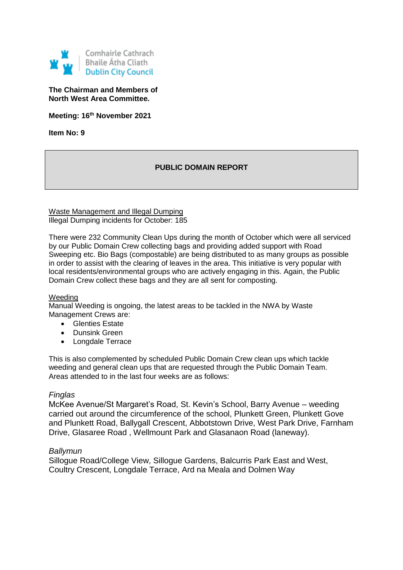

**The Chairman and Members of North West Area Committee.**

**Meeting: 16th November 2021**

**Item No: 9**

# **PUBLIC DOMAIN REPORT**

Waste Management and Illegal Dumping Illegal Dumping incidents for October: 185

There were 232 Community Clean Ups during the month of October which were all serviced by our Public Domain Crew collecting bags and providing added support with Road Sweeping etc. Bio Bags (compostable) are being distributed to as many groups as possible in order to assist with the clearing of leaves in the area. This initiative is very popular with local residents/environmental groups who are actively engaging in this. Again, the Public Domain Crew collect these bags and they are all sent for composting.

## Weeding

Manual Weeding is ongoing, the latest areas to be tackled in the NWA by Waste Management Crews are:

- Glenties Estate
- Dunsink Green
- Longdale Terrace

This is also complemented by scheduled Public Domain Crew clean ups which tackle weeding and general clean ups that are requested through the Public Domain Team. Areas attended to in the last four weeks are as follows:

## *Finglas*

McKee Avenue/St Margaret's Road, St. Kevin's School, Barry Avenue – weeding carried out around the circumference of the school, Plunkett Green, Plunkett Gove and Plunkett Road, Ballygall Crescent, Abbotstown Drive, West Park Drive, Farnham Drive, Glasaree Road , Wellmount Park and Glasanaon Road (laneway).

## *Ballymun*

Sillogue Road/College View, Sillogue Gardens, Balcurris Park East and West, Coultry Crescent, Longdale Terrace, Ard na Meala and Dolmen Way